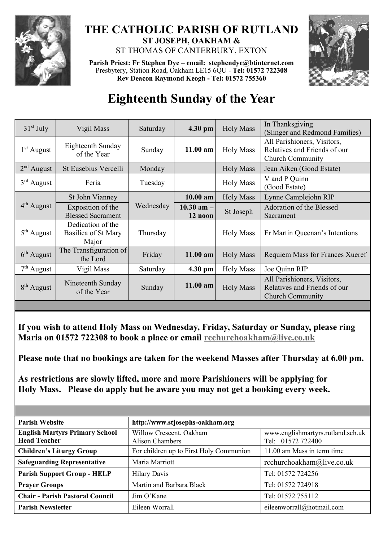

## **THE CATHOLIC PARISH OF RUTLAND ST JOSEPH, OAKHAM &**  ST THOMAS OF CANTERBURY, EXTON

**Parish Priest: Fr Stephen Dye** – **[email: stephendye@btinternet.com](mailto:email:%20%20stephendye@btinternet.com)** Presbytery, Station Road, Oakham LE15 6QU - **Tel: 01572 722308 Rev Deacon Raymond Keogh - Tel: 01572 755360**



## **Eighteenth Sunday of the Year**

| $31st$ July            | Vigil Mass                                        | Saturday  | 4.30 pm                   | <b>Holy Mass</b> | In Thanksgiving<br>(Slinger and Redmond Families)                                      |
|------------------------|---------------------------------------------------|-----------|---------------------------|------------------|----------------------------------------------------------------------------------------|
| $1st$ August           | Eighteenth Sunday<br>of the Year                  | Sunday    | $11.00$ am                | <b>Holy Mass</b> | All Parishioners, Visitors,<br>Relatives and Friends of our<br><b>Church Community</b> |
| $2nd$ August           | St Eusebius Vercelli                              | Monday    |                           | <b>Holy Mass</b> | Jean Aiken (Good Estate)                                                               |
| $3rd$ August           | Feria                                             | Tuesday   |                           | <b>Holy Mass</b> | V and P Quinn<br>(Good Estate)                                                         |
| 4 <sup>th</sup> August | St John Vianney                                   | Wednesday | $10.00$ am                | <b>Holy Mass</b> | Lynne Camplejohn RIP                                                                   |
|                        | Exposition of the<br><b>Blessed Sacrament</b>     |           | $10.30$ am $-$<br>12 noon | St Joseph        | Adoration of the Blessed<br>Sacrament                                                  |
| $5th$ August           | Dedication of the<br>Basilica of St Mary<br>Major | Thursday  |                           | <b>Holy Mass</b> | Fr Martin Queenan's Intentions                                                         |
| $6th$ August           | The Transfiguration of<br>the Lord                | Friday    | $11.00$ am                | <b>Holy Mass</b> | Requiem Mass for Frances Xueref                                                        |
| $7th$ August           | Vigil Mass                                        | Saturday  | 4.30 pm                   | <b>Holy Mass</b> | Joe Quinn RIP                                                                          |
| 8 <sup>th</sup> August | Nineteenth Sunday<br>of the Year                  | Sunday    | $11.00$ am                | <b>Holy Mass</b> | All Parishioners, Visitors,<br>Relatives and Friends of our<br><b>Church Community</b> |

**If you wish to attend Holy Mass on Wednesday, Friday, Saturday or Sunday, please ring Maria on 01572 722308 to book a place or email [rcchurchoakham@live.co.uk](mailto:rcchurchoakham@live.co.uk)**

**Please note that no bookings are taken for the weekend Masses after Thursday at 6.00 pm.**

**As restrictions are slowly lifted, more and more Parishioners will be applying for Holy Mass. Please do apply but be aware you may not get a booking every week.**

| <b>Parish Website</b>                                        | http://www.stjosephs-oakham.org                   |                                                        |  |  |
|--------------------------------------------------------------|---------------------------------------------------|--------------------------------------------------------|--|--|
| <b>English Martyrs Primary School</b><br><b>Head Teacher</b> | Willow Crescent, Oakham<br><b>Alison Chambers</b> | www.englishmartyrs.rutland.sch.uk<br>Tel: 01572 722400 |  |  |
| <b>Children's Liturgy Group</b>                              | For children up to First Holy Communion           | 11.00 am Mass in term time                             |  |  |
| <b>Safeguarding Representative</b>                           | Maria Marriott                                    | rcchurchoakham@live.co.uk                              |  |  |
| <b>Parish Support Group - HELP</b>                           | <b>Hilary Davis</b>                               | Tel: 01572 724256                                      |  |  |
| <b>Prayer Groups</b>                                         | Martin and Barbara Black                          | Tel: 01572 724918                                      |  |  |
| <b>Chair - Parish Pastoral Council</b>                       | Jim O'Kane                                        | Tel: 01572 755112                                      |  |  |
| <b>Parish Newsletter</b>                                     | Eileen Worrall                                    | eileenworrall@hotmail.com                              |  |  |